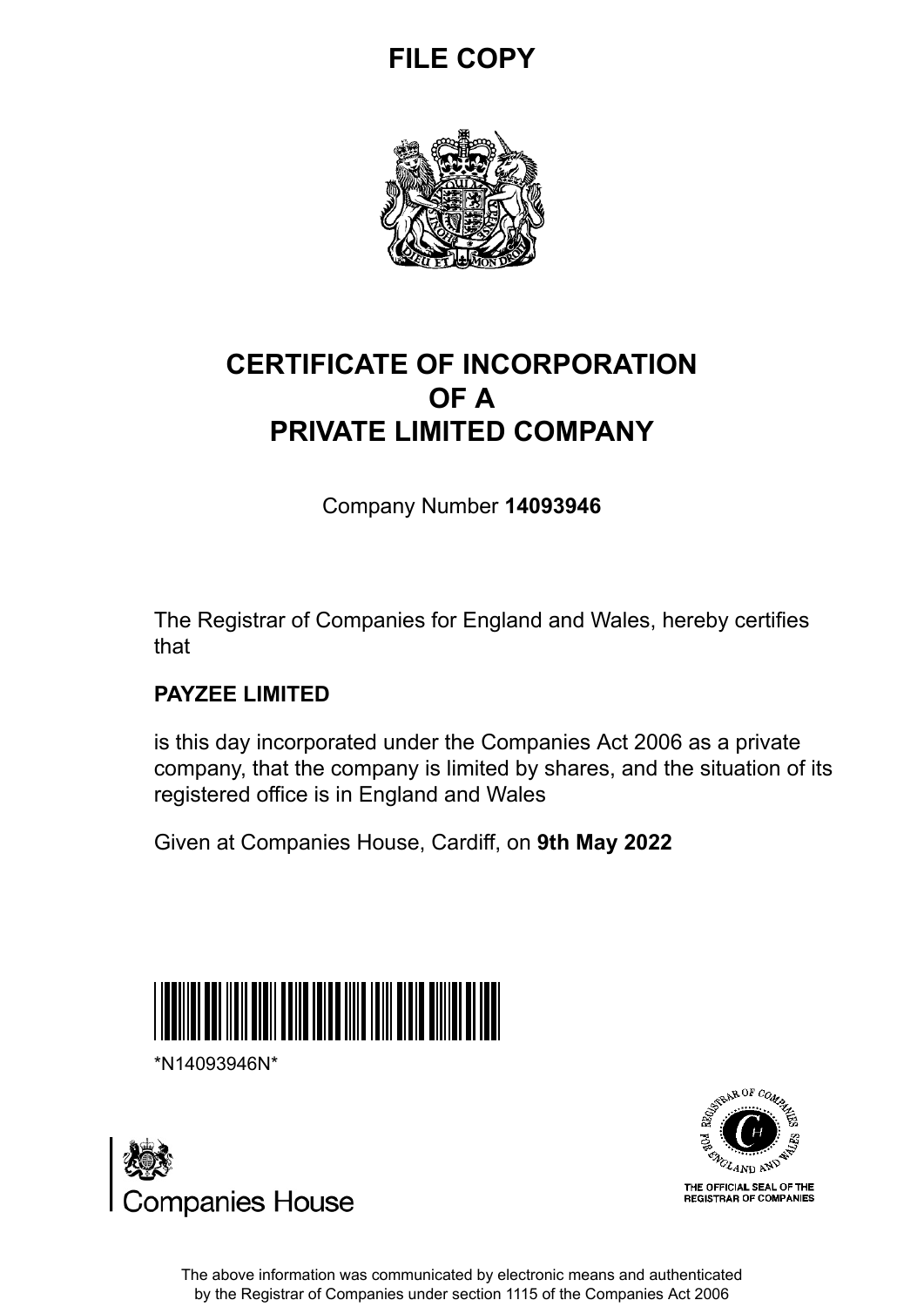## **FILE COPY**



## **CERTIFICATE OF INCORPORATION OF A PRIVATE LIMITED COMPANY**

Company Number **14093946**

The Registrar of Companies for England and Wales, hereby certifies that

### **PAYZEE LIMITED**

is this day incorporated under the Companies Act 2006 as a private company, that the company is limited by shares, and the situation of its registered office is in England and Wales

Given at Companies House, Cardiff, on **9th May 2022**



\*N14093946N\*





The above information was communicated by electronic means and authenticated by the Registrar of Companies under section 1115 of the Companies Act 2006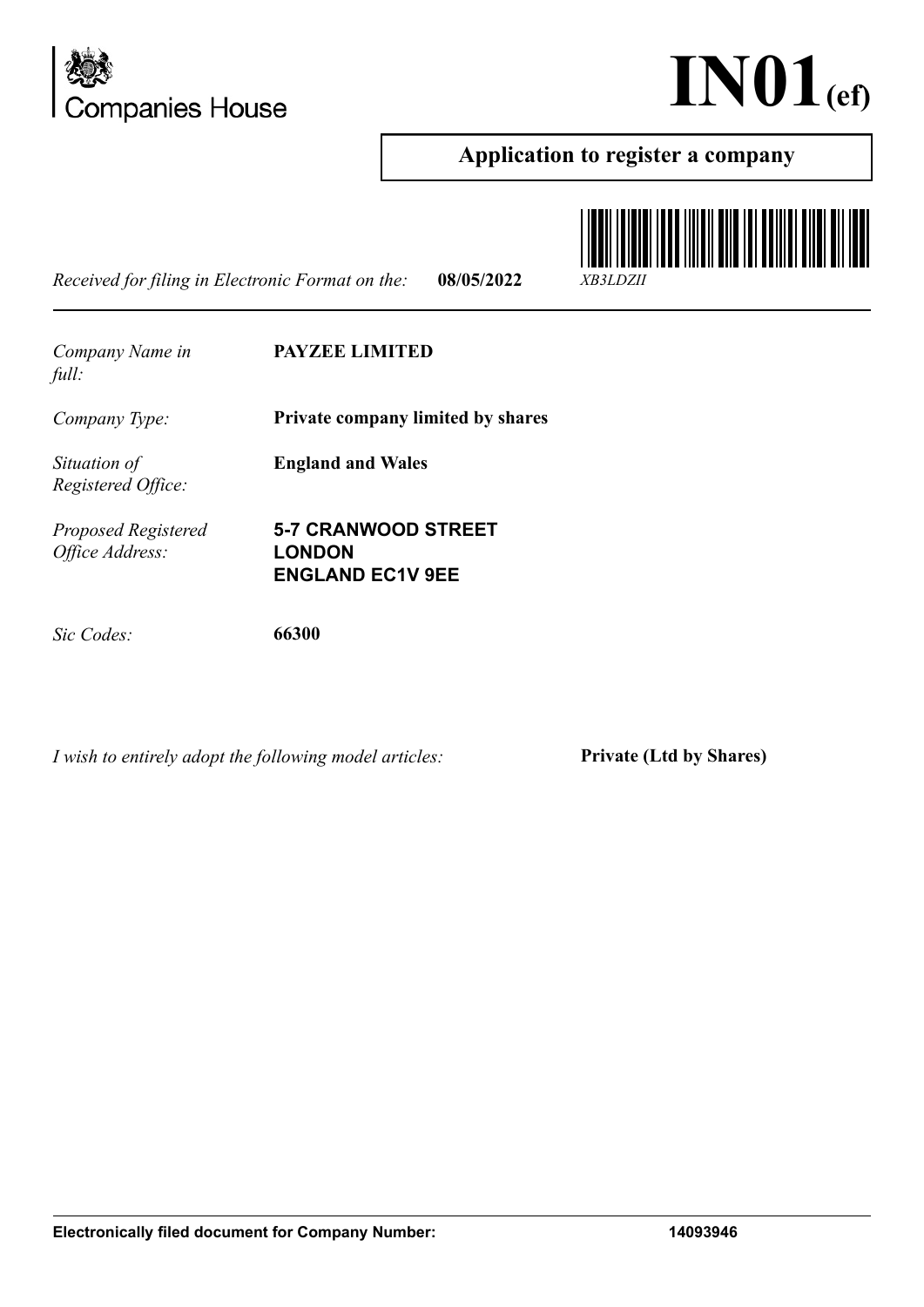



### **Application to register a company**

*Received for filing in Electronic Format on the:* **08/05/2022** *XB3LDZII*



*Company Name in full:* **PAYZEE LIMITED** *Company Type:* **Private company limited by shares** *Situation of Registered Office:* **England and Wales** *Proposed Registered Office Address:* **5-7 CRANWOOD STREET LONDON ENGLAND EC1V 9EE** *Sic Codes:* **66300**

*I wish to entirely adopt the following model articles:* **Private (Ltd by Shares)**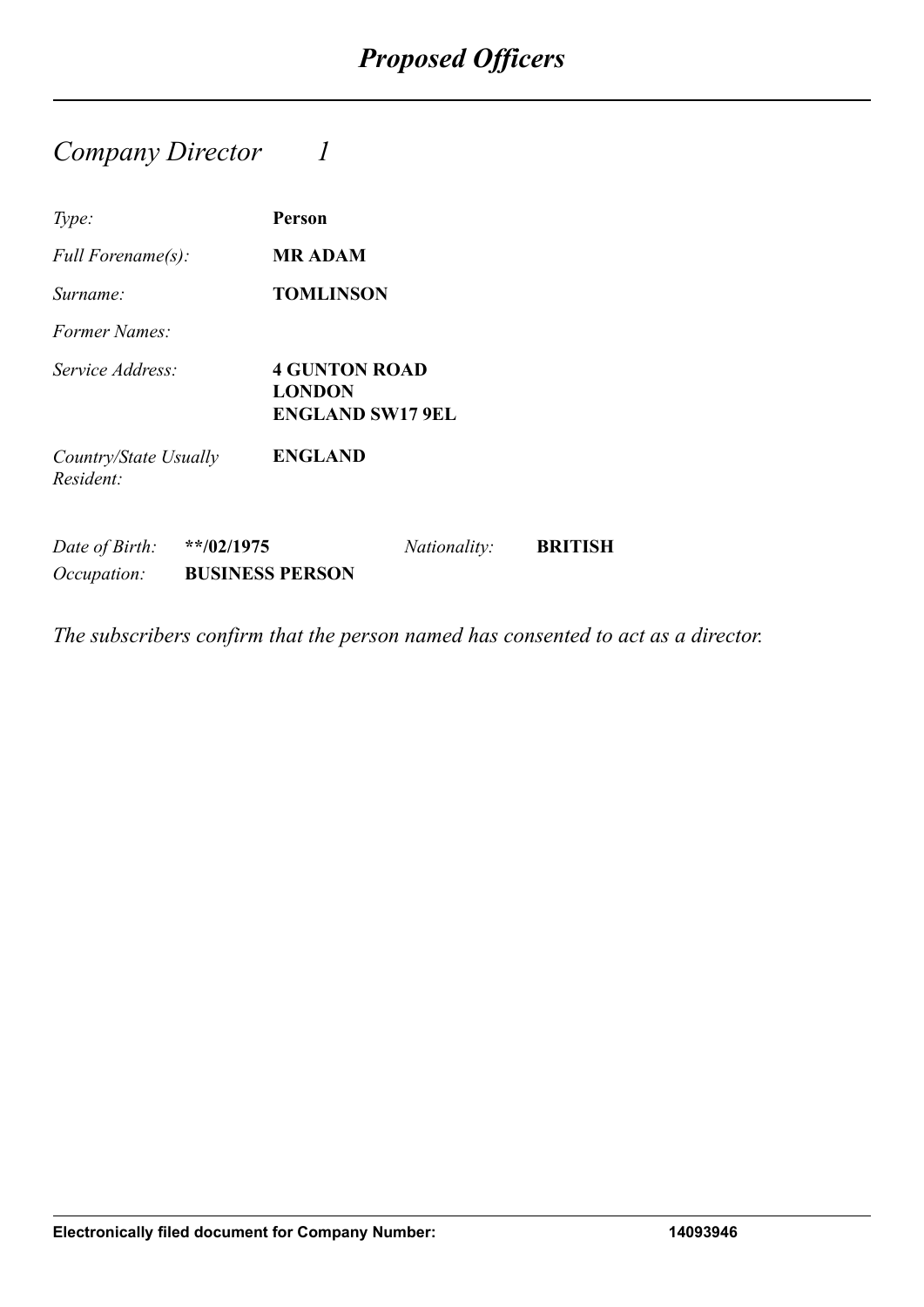### *Company Director 1*

| Type:                                         | Person                                                           |
|-----------------------------------------------|------------------------------------------------------------------|
| Full Forename(s):                             | <b>MR ADAM</b>                                                   |
| Surname:                                      | <b>TOMLINSON</b>                                                 |
| <i>Former Names:</i>                          |                                                                  |
| Service Address:                              | <b>4 GUNTON ROAD</b><br><b>LONDON</b><br><b>ENGLAND SW17 9EL</b> |
| Country/State Usually<br>Resident:            | <b>ENGLAND</b>                                                   |
| $**/02/1975$<br>Date of Birth:<br>Occupation: | <b>BRITISH</b><br><i>Nationality:</i><br><b>BUSINESS PERSON</b>  |

*The subscribers confirm that the person named has consented to act as a director.*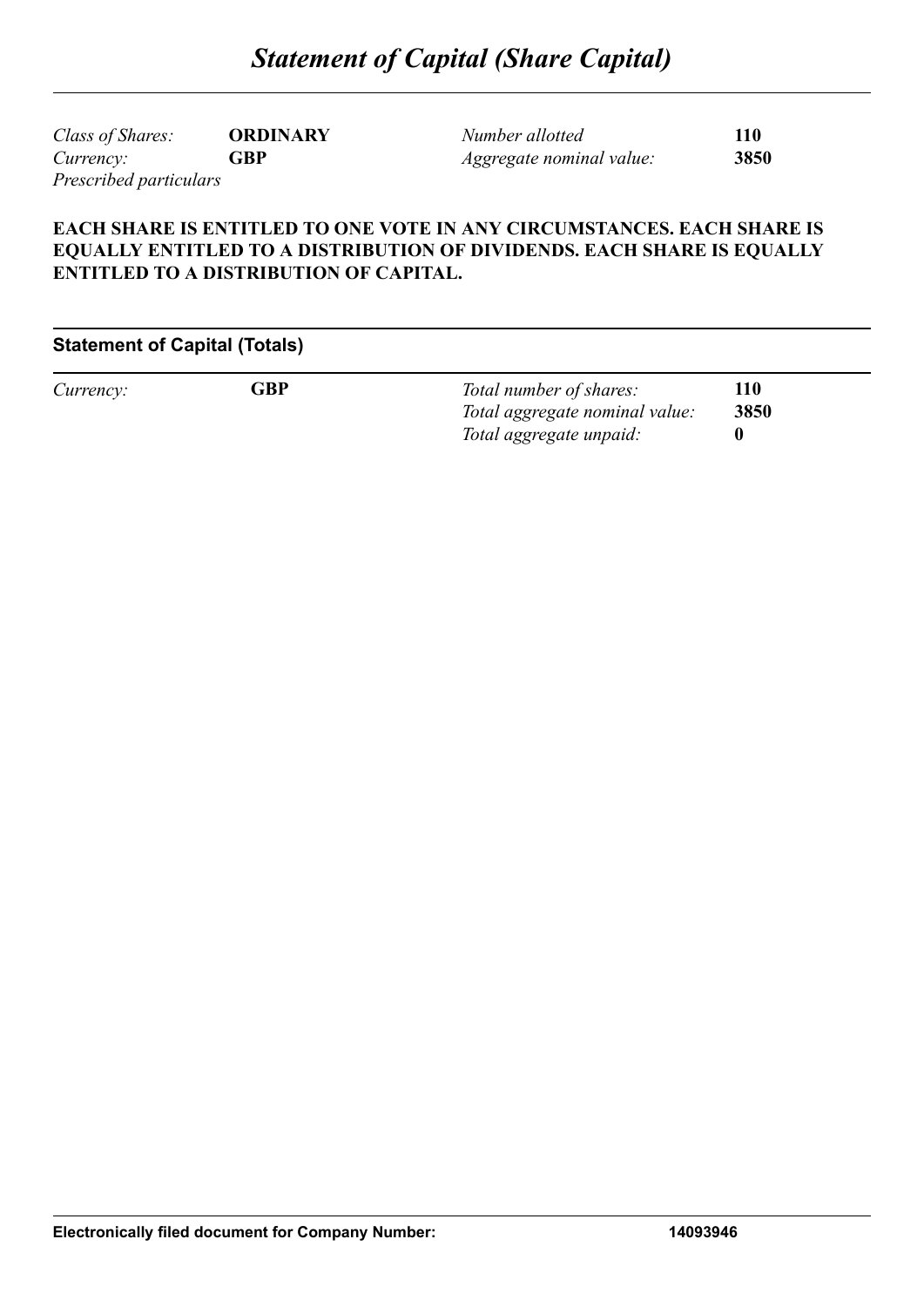*Class of Shares:* **ORDINARY** *Currency:* **GBP** *Prescribed particulars*

*Number allotted* **110** *Aggregate nominal value:* **3850**

#### **EACH SHARE IS ENTITLED TO ONE VOTE IN ANY CIRCUMSTANCES. EACH SHARE IS EQUALLY ENTITLED TO A DISTRIBUTION OF DIVIDENDS. EACH SHARE IS EQUALLY ENTITLED TO A DISTRIBUTION OF CAPITAL.**

#### **Statement of Capital (Totals)**

*Currency:* **GBP** *Total number of shares:* **110** *Total aggregate nominal value:* **3850** *Total aggregate unpaid:* **0**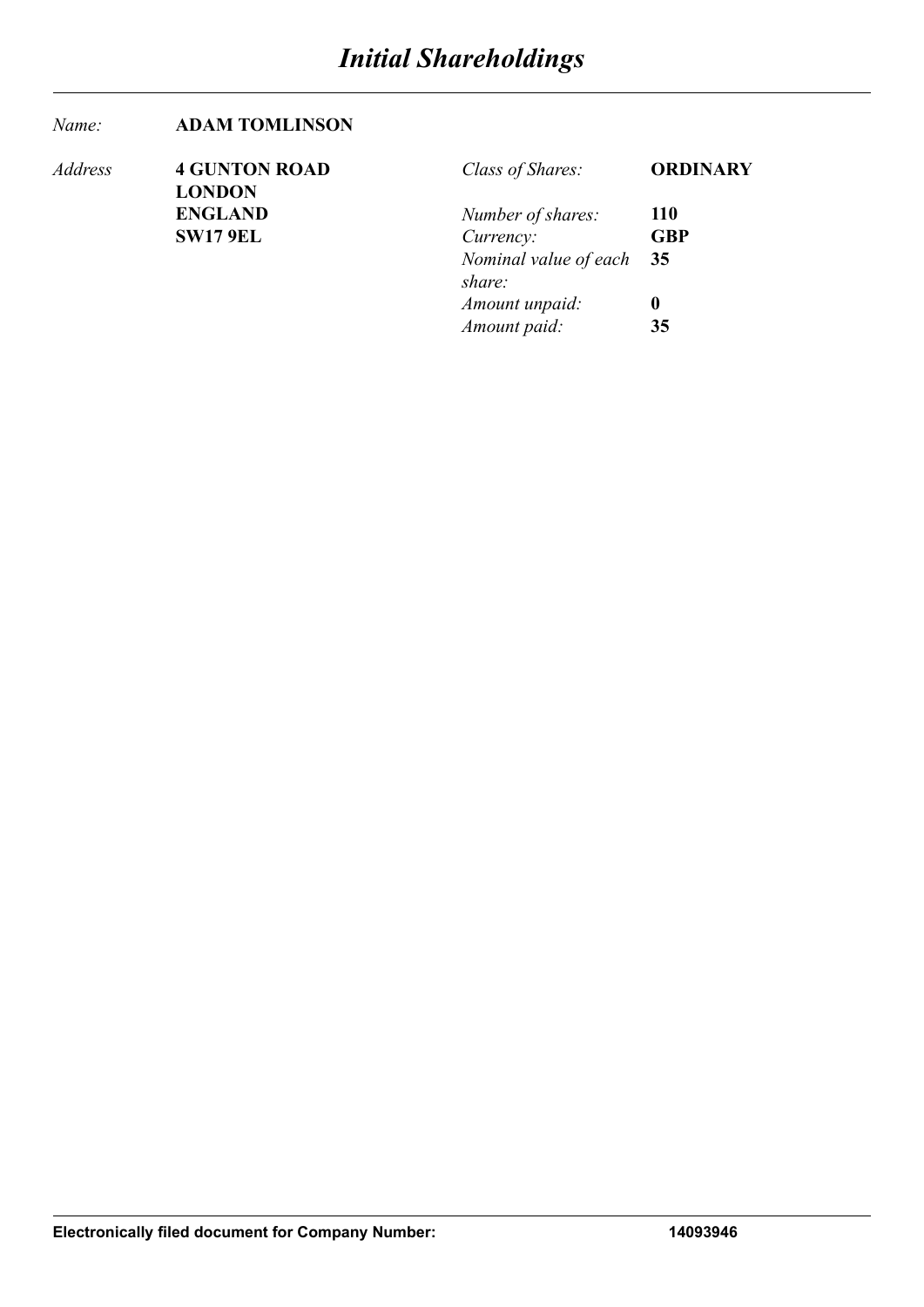#### *Name:* **ADAM TOMLINSON**

| Address | <b>4 GUNTON ROAD</b>            | Class of Shares:                   | <b>ORDINARY</b>  |
|---------|---------------------------------|------------------------------------|------------------|
|         | <b>LONDON</b><br><b>ENGLAND</b> | Number of shares:                  | <b>110</b>       |
|         | <b>SW17 9EL</b>                 | Currency:                          | <b>GBP</b>       |
|         |                                 | Nominal value of each 35<br>share: |                  |
|         |                                 | Amount unpaid:                     | $\boldsymbol{0}$ |
|         |                                 | Amount paid:                       | 35               |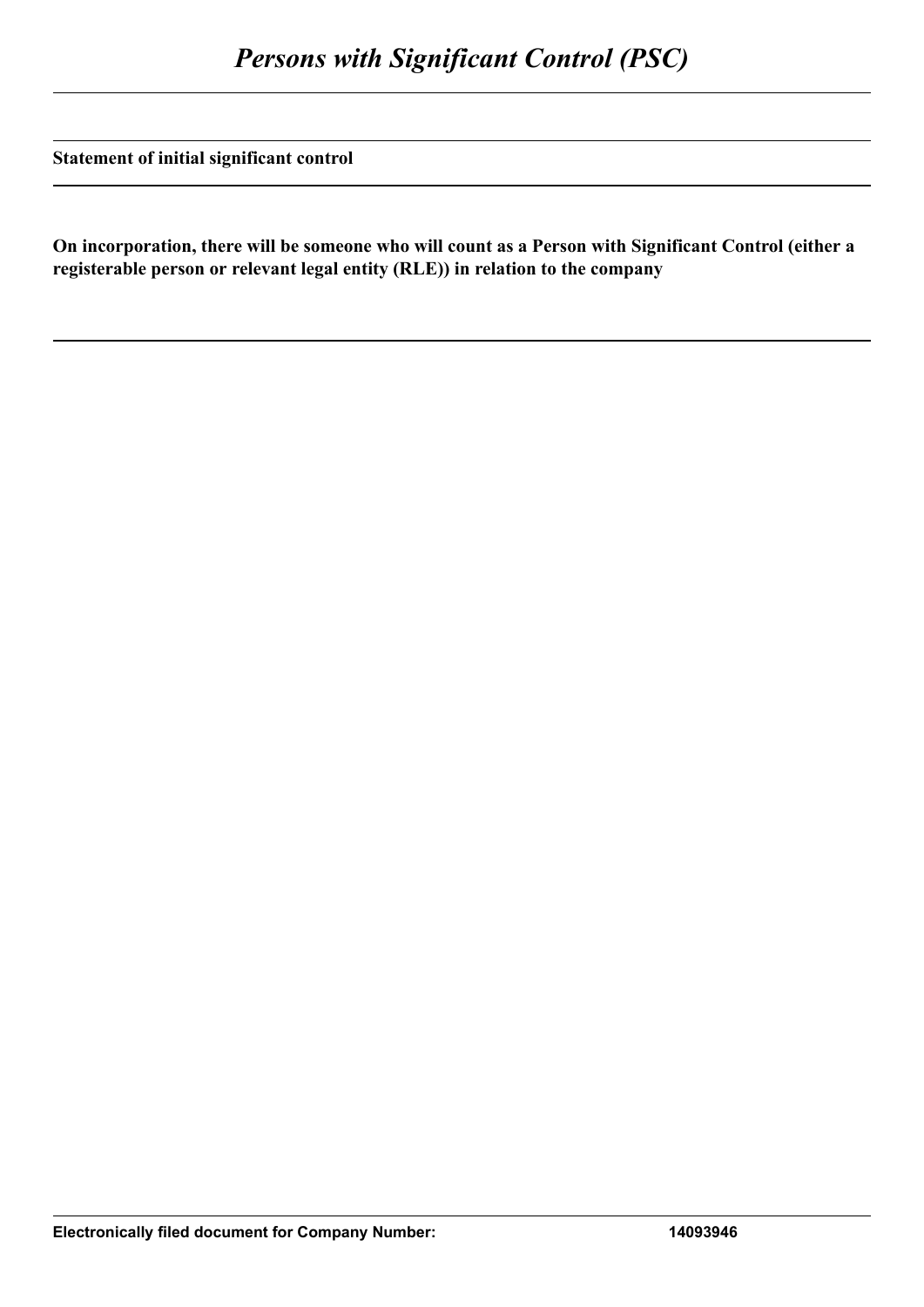**Statement of initial significant control**

**On incorporation, there will be someone who will count as a Person with Significant Control (either a registerable person or relevant legal entity (RLE)) in relation to the company**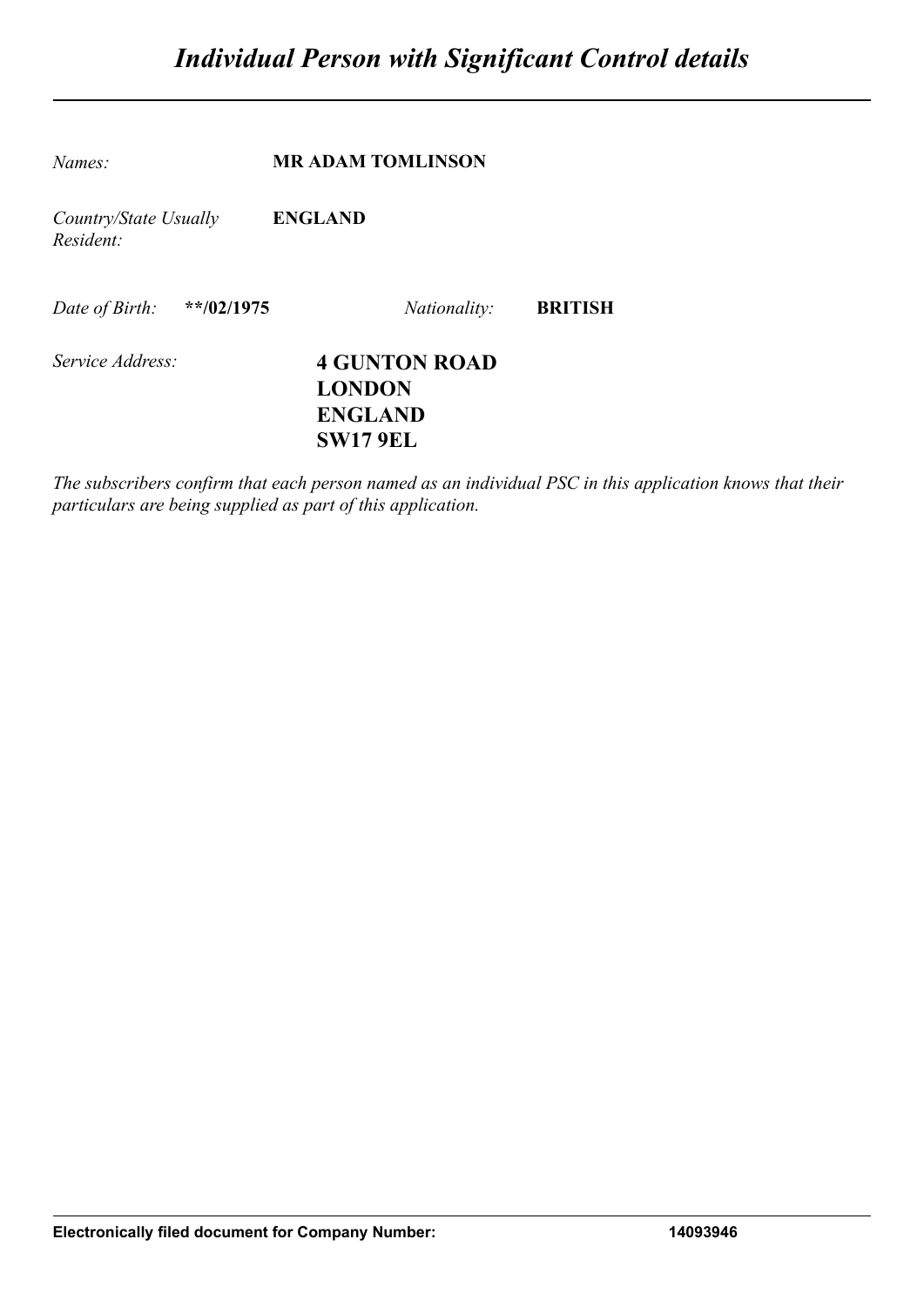| Names:                             | <b>MR ADAM TOMLINSON</b>                                                   |                |
|------------------------------------|----------------------------------------------------------------------------|----------------|
| Country/State Usually<br>Resident: | <b>ENGLAND</b>                                                             |                |
| Date of Birth:<br>$*$ $4/02/1975$  | <i>Nationality:</i>                                                        | <b>BRITISH</b> |
| Service Address:                   | <b>4 GUNTON ROAD</b><br><b>LONDON</b><br><b>ENGLAND</b><br><b>SW17 9EL</b> |                |

*The subscribers confirm that each person named as an individual PSC in this application knows that their particulars are being supplied as part of this application.*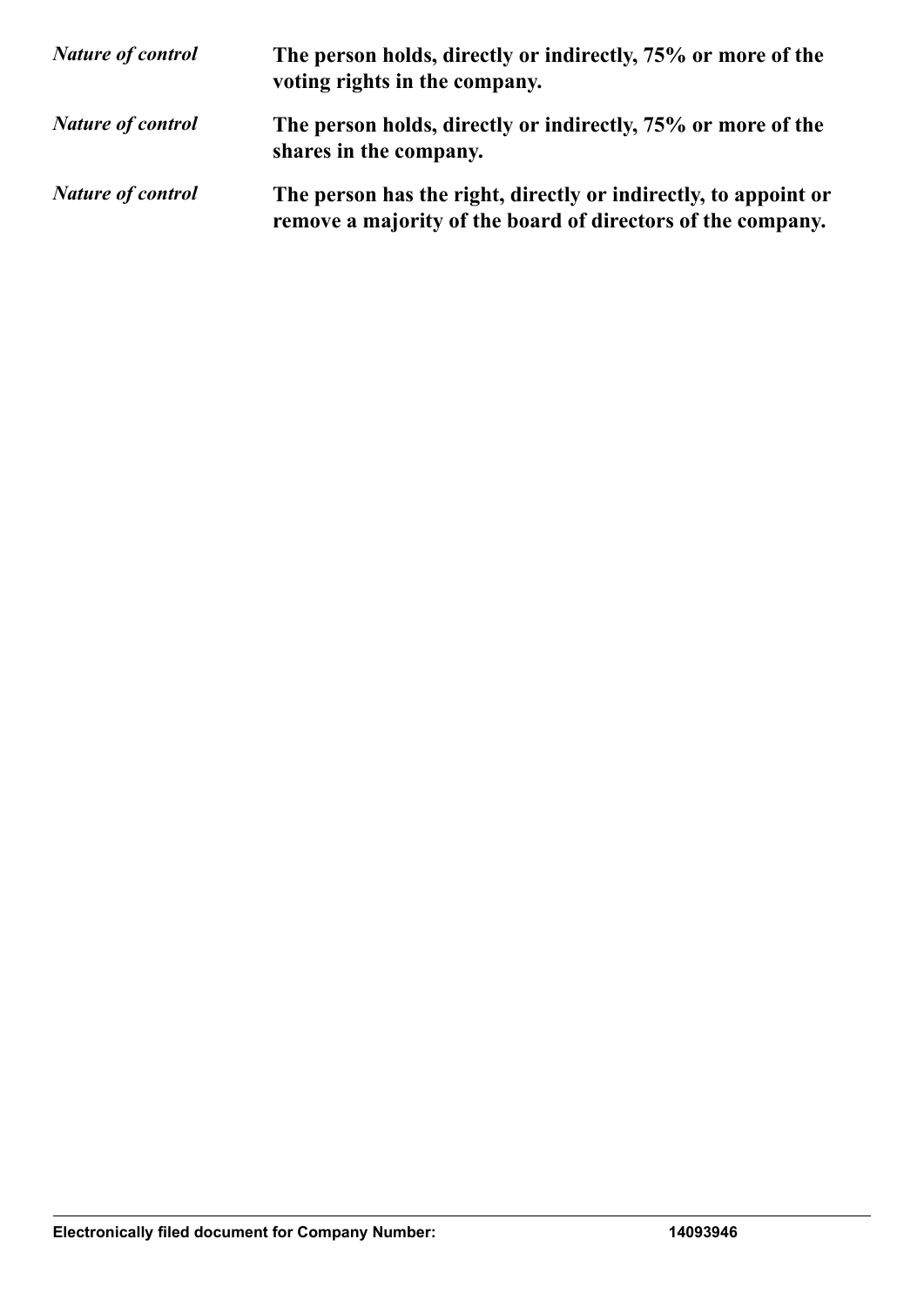| <b>Nature of control</b> | The person holds, directly or indirectly, 75% or more of the<br>voting rights in the company.                                  |
|--------------------------|--------------------------------------------------------------------------------------------------------------------------------|
| <b>Nature of control</b> | The person holds, directly or indirectly, 75% or more of the<br>shares in the company.                                         |
| <b>Nature of control</b> | The person has the right, directly or indirectly, to appoint or<br>remove a majority of the board of directors of the company. |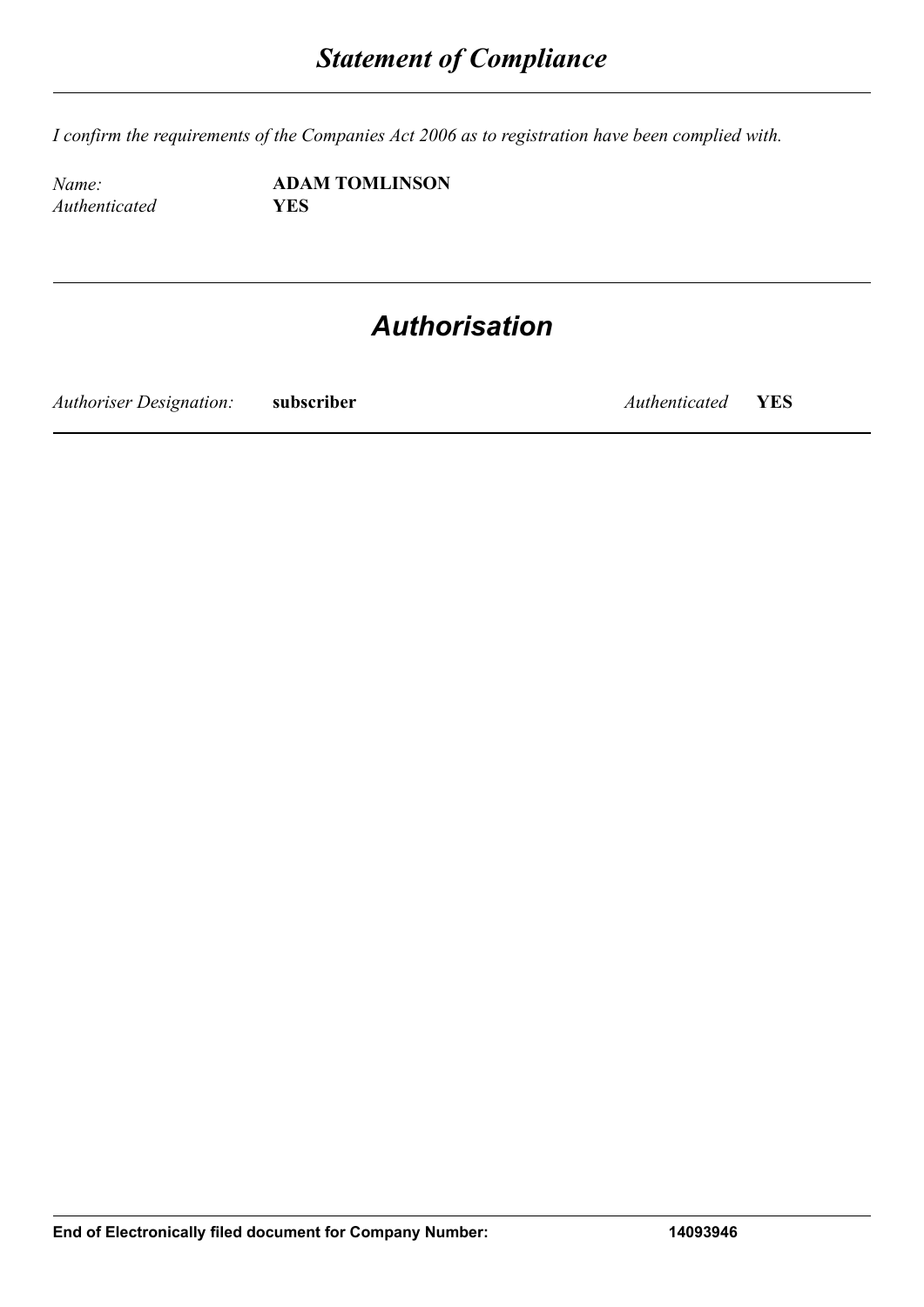*I confirm the requirements of the Companies Act 2006 as to registration have been complied with.*

*Authenticated* **YES**

*Name:* **ADAM TOMLINSON**

## *Authorisation*

*Authoriser Designation:* **subscriber** *Authenticated* **YES**